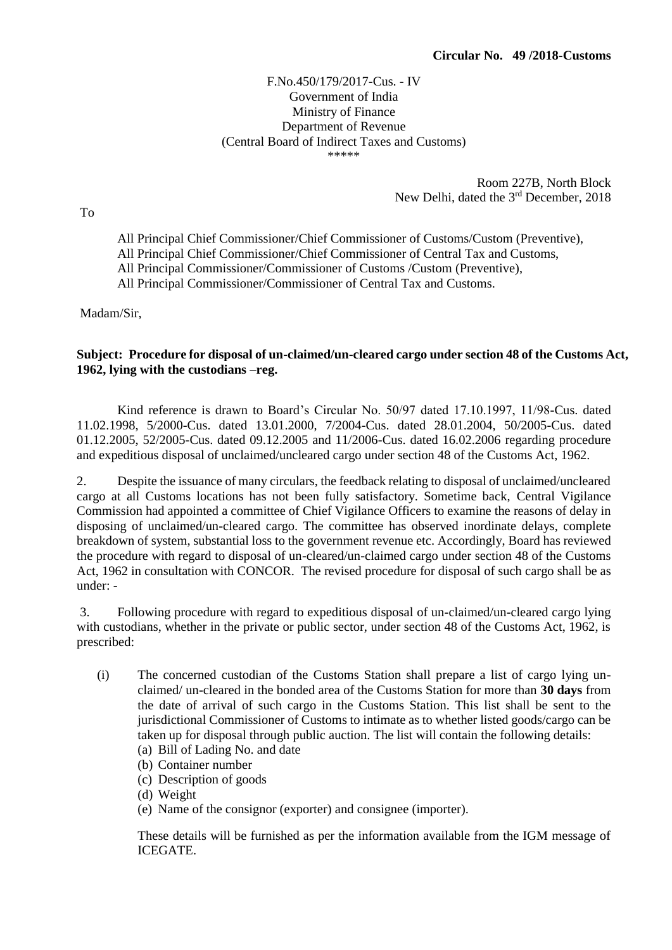## F.No.450/179/2017-Cus. - IV Government of India Ministry of Finance Department of Revenue (Central Board of Indirect Taxes and Customs) \*\*\*\*\*

Room 227B, North Block New Delhi, dated the 3<sup>rd</sup> December, 2018

All Principal Chief Commissioner/Chief Commissioner of Customs/Custom (Preventive), All Principal Chief Commissioner/Chief Commissioner of Central Tax and Customs, All Principal Commissioner/Commissioner of Customs /Custom (Preventive),

All Principal Commissioner/Commissioner of Central Tax and Customs.

Madam/Sir,

## **Subject: Procedure for disposal of un-claimed/un-cleared cargo under section 48 of the Customs Act, 1962, lying with the custodians –reg.**

Kind reference is drawn to Board's Circular No. 50/97 dated 17.10.1997, 11/98-Cus. dated 11.02.1998, 5/2000-Cus. dated 13.01.2000, 7/2004-Cus. dated 28.01.2004, 50/2005-Cus. dated 01.12.2005, 52/2005-Cus. dated 09.12.2005 and 11/2006-Cus. dated 16.02.2006 regarding procedure and expeditious disposal of unclaimed/uncleared cargo under section 48 of the Customs Act, 1962.

2. Despite the issuance of many circulars, the feedback relating to disposal of unclaimed/uncleared cargo at all Customs locations has not been fully satisfactory. Sometime back, Central Vigilance Commission had appointed a committee of Chief Vigilance Officers to examine the reasons of delay in disposing of unclaimed/un-cleared cargo. The committee has observed inordinate delays, complete breakdown of system, substantial loss to the government revenue etc. Accordingly, Board has reviewed the procedure with regard to disposal of un-cleared/un-claimed cargo under section 48 of the Customs Act, 1962 in consultation with CONCOR. The revised procedure for disposal of such cargo shall be as under: -

3. Following procedure with regard to expeditious disposal of un-claimed/un-cleared cargo lying with custodians, whether in the private or public sector, under section 48 of the Customs Act, 1962, is prescribed:

- (i) The concerned custodian of the Customs Station shall prepare a list of cargo lying unclaimed/ un-cleared in the bonded area of the Customs Station for more than **30 days** from the date of arrival of such cargo in the Customs Station. This list shall be sent to the jurisdictional Commissioner of Customs to intimate as to whether listed goods/cargo can be taken up for disposal through public auction. The list will contain the following details: (a) Bill of Lading No. and date
	- (b) Container number
	- (c) Description of goods
	- (d) Weight
	- (e) Name of the consignor (exporter) and consignee (importer).

These details will be furnished as per the information available from the IGM message of ICEGATE.

To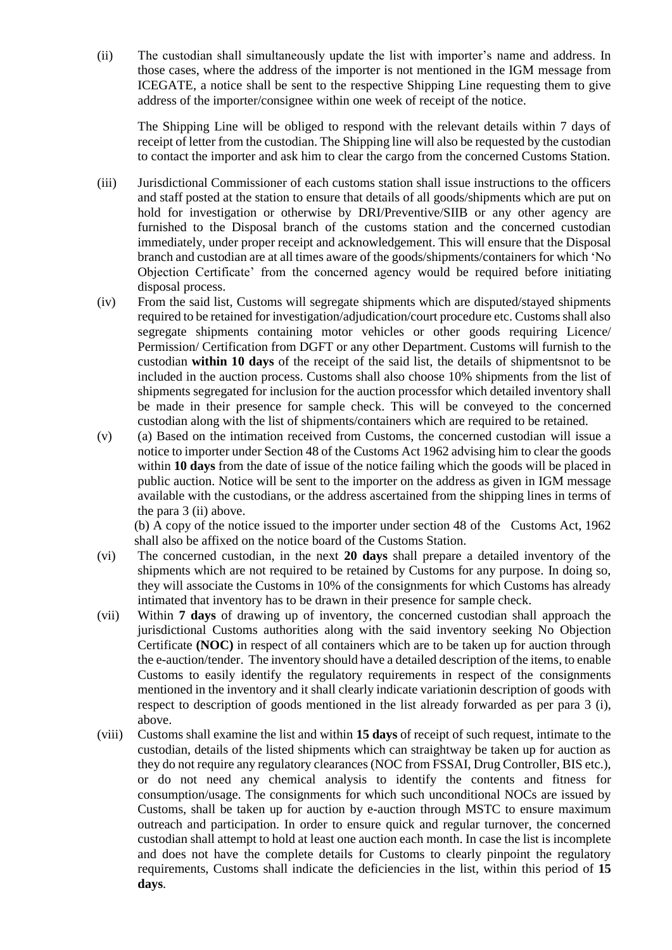(ii) The custodian shall simultaneously update the list with importer's name and address. In those cases, where the address of the importer is not mentioned in the IGM message from ICEGATE, a notice shall be sent to the respective Shipping Line requesting them to give address of the importer/consignee within one week of receipt of the notice.

The Shipping Line will be obliged to respond with the relevant details within 7 days of receipt of letter from the custodian. The Shipping line will also be requested by the custodian to contact the importer and ask him to clear the cargo from the concerned Customs Station.

- (iii) Jurisdictional Commissioner of each customs station shall issue instructions to the officers and staff posted at the station to ensure that details of all goods/shipments which are put on hold for investigation or otherwise by DRI/Preventive/SIIB or any other agency are furnished to the Disposal branch of the customs station and the concerned custodian immediately, under proper receipt and acknowledgement. This will ensure that the Disposal branch and custodian are at all times aware of the goods/shipments/containers for which 'No Objection Certificate' from the concerned agency would be required before initiating disposal process.
- (iv) From the said list, Customs will segregate shipments which are disputed/stayed shipments required to be retained for investigation/adjudication/court procedure etc. Customs shall also segregate shipments containing motor vehicles or other goods requiring Licence/ Permission/ Certification from DGFT or any other Department. Customs will furnish to the custodian **within 10 days** of the receipt of the said list, the details of shipmentsnot to be included in the auction process. Customs shall also choose 10% shipments from the list of shipments segregated for inclusion for the auction processfor which detailed inventory shall be made in their presence for sample check. This will be conveyed to the concerned custodian along with the list of shipments/containers which are required to be retained.
- (v) (a) Based on the intimation received from Customs, the concerned custodian will issue a notice to importer under Section 48 of the Customs Act 1962 advising him to clear the goods within **10 days** from the date of issue of the notice failing which the goods will be placed in public auction. Notice will be sent to the importer on the address as given in IGM message available with the custodians, or the address ascertained from the shipping lines in terms of the para 3 (ii) above.

(b) A copy of the notice issued to the importer under section 48 of the Customs Act, 1962 shall also be affixed on the notice board of the Customs Station.

- (vi) The concerned custodian, in the next **20 days** shall prepare a detailed inventory of the shipments which are not required to be retained by Customs for any purpose. In doing so, they will associate the Customs in 10% of the consignments for which Customs has already intimated that inventory has to be drawn in their presence for sample check.
- (vii) Within **7 days** of drawing up of inventory, the concerned custodian shall approach the jurisdictional Customs authorities along with the said inventory seeking No Objection Certificate **(NOC)** in respect of all containers which are to be taken up for auction through the e-auction/tender. The inventory should have a detailed description of the items, to enable Customs to easily identify the regulatory requirements in respect of the consignments mentioned in the inventory and it shall clearly indicate variationin description of goods with respect to description of goods mentioned in the list already forwarded as per para 3 (i), above.
- (viii) Customs shall examine the list and within **15 days** of receipt of such request, intimate to the custodian, details of the listed shipments which can straightway be taken up for auction as they do not require any regulatory clearances (NOC from FSSAI, Drug Controller, BIS etc.), or do not need any chemical analysis to identify the contents and fitness for consumption/usage. The consignments for which such unconditional NOCs are issued by Customs, shall be taken up for auction by e-auction through MSTC to ensure maximum outreach and participation. In order to ensure quick and regular turnover, the concerned custodian shall attempt to hold at least one auction each month. In case the list is incomplete and does not have the complete details for Customs to clearly pinpoint the regulatory requirements, Customs shall indicate the deficiencies in the list, within this period of **15 days**.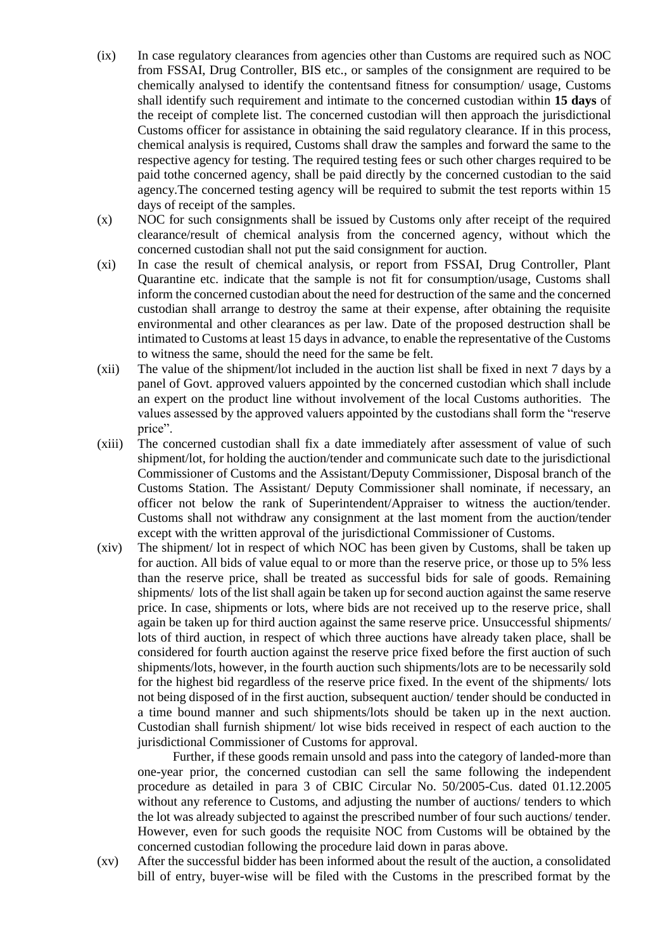- (ix) In case regulatory clearances from agencies other than Customs are required such as NOC from FSSAI, Drug Controller, BIS etc., or samples of the consignment are required to be chemically analysed to identify the contentsand fitness for consumption/ usage, Customs shall identify such requirement and intimate to the concerned custodian within **15 days** of the receipt of complete list. The concerned custodian will then approach the jurisdictional Customs officer for assistance in obtaining the said regulatory clearance. If in this process, chemical analysis is required, Customs shall draw the samples and forward the same to the respective agency for testing. The required testing fees or such other charges required to be paid tothe concerned agency, shall be paid directly by the concerned custodian to the said agency.The concerned testing agency will be required to submit the test reports within 15 days of receipt of the samples.
- (x) NOC for such consignments shall be issued by Customs only after receipt of the required clearance/result of chemical analysis from the concerned agency, without which the concerned custodian shall not put the said consignment for auction.
- (xi) In case the result of chemical analysis, or report from FSSAI, Drug Controller, Plant Quarantine etc. indicate that the sample is not fit for consumption/usage, Customs shall inform the concerned custodian about the need for destruction of the same and the concerned custodian shall arrange to destroy the same at their expense, after obtaining the requisite environmental and other clearances as per law. Date of the proposed destruction shall be intimated to Customs at least 15 days in advance, to enable the representative of the Customs to witness the same, should the need for the same be felt.
- (xii) The value of the shipment/lot included in the auction list shall be fixed in next 7 days by a panel of Govt. approved valuers appointed by the concerned custodian which shall include an expert on the product line without involvement of the local Customs authorities. The values assessed by the approved valuers appointed by the custodians shall form the "reserve price".
- (xiii) The concerned custodian shall fix a date immediately after assessment of value of such shipment/lot, for holding the auction/tender and communicate such date to the jurisdictional Commissioner of Customs and the Assistant/Deputy Commissioner, Disposal branch of the Customs Station. The Assistant/ Deputy Commissioner shall nominate, if necessary, an officer not below the rank of Superintendent/Appraiser to witness the auction/tender. Customs shall not withdraw any consignment at the last moment from the auction/tender except with the written approval of the jurisdictional Commissioner of Customs.
- (xiv) The shipment/ lot in respect of which NOC has been given by Customs, shall be taken up for auction. All bids of value equal to or more than the reserve price, or those up to 5% less than the reserve price, shall be treated as successful bids for sale of goods. Remaining shipments/ lots of the list shall again be taken up for second auction against the same reserve price. In case, shipments or lots, where bids are not received up to the reserve price, shall again be taken up for third auction against the same reserve price. Unsuccessful shipments/ lots of third auction, in respect of which three auctions have already taken place, shall be considered for fourth auction against the reserve price fixed before the first auction of such shipments/lots, however, in the fourth auction such shipments/lots are to be necessarily sold for the highest bid regardless of the reserve price fixed. In the event of the shipments/ lots not being disposed of in the first auction, subsequent auction/ tender should be conducted in a time bound manner and such shipments/lots should be taken up in the next auction. Custodian shall furnish shipment/ lot wise bids received in respect of each auction to the jurisdictional Commissioner of Customs for approval.

Further, if these goods remain unsold and pass into the category of landed-more than one-year prior, the concerned custodian can sell the same following the independent procedure as detailed in para 3 of CBIC Circular No. 50/2005-Cus. dated 01.12.2005 without any reference to Customs, and adjusting the number of auctions/ tenders to which the lot was already subjected to against the prescribed number of four such auctions/ tender. However, even for such goods the requisite NOC from Customs will be obtained by the concerned custodian following the procedure laid down in paras above.

(xv) After the successful bidder has been informed about the result of the auction, a consolidated bill of entry, buyer-wise will be filed with the Customs in the prescribed format by the